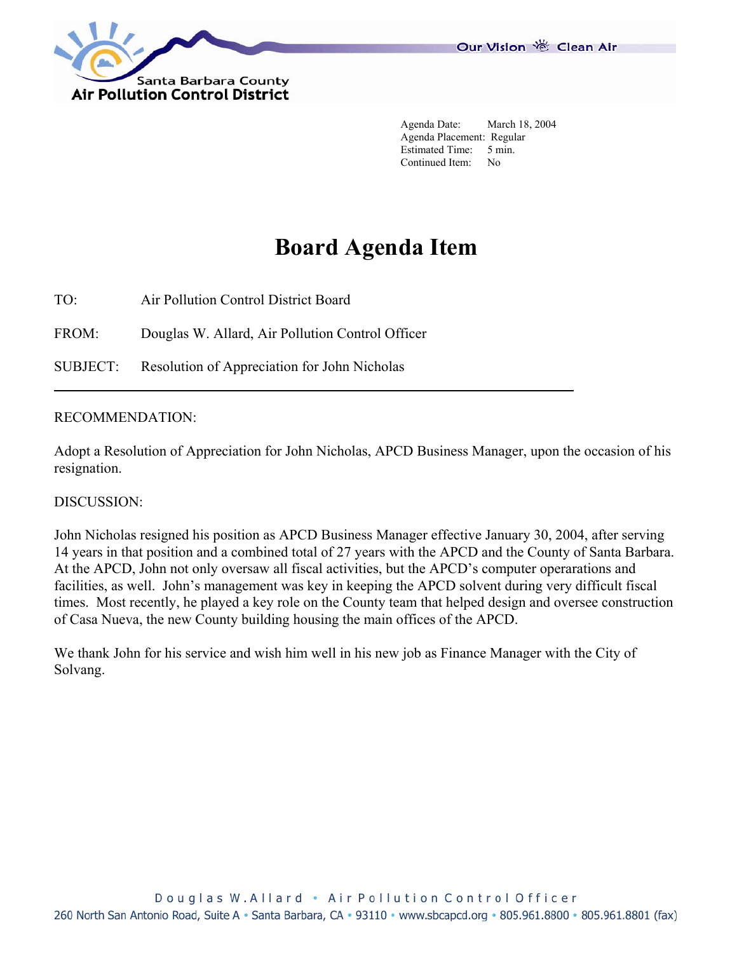

 Agenda Date: March 18, 2004 Agenda Placement: Regular Estimated Time: 5 min. Continued Item: No

## **Board Agenda Item**

TO: Air Pollution Control District Board

FROM: Douglas W. Allard, Air Pollution Control Officer

SUBJECT: Resolution of Appreciation for John Nicholas

## RECOMMENDATION:

Adopt a Resolution of Appreciation for John Nicholas, APCD Business Manager, upon the occasion of his resignation.

## DISCUSSION:

John Nicholas resigned his position as APCD Business Manager effective January 30, 2004, after serving 14 years in that position and a combined total of 27 years with the APCD and the County of Santa Barbara. At the APCD, John not only oversaw all fiscal activities, but the APCD's computer operarations and facilities, as well. John's management was key in keeping the APCD solvent during very difficult fiscal times. Most recently, he played a key role on the County team that helped design and oversee construction of Casa Nueva, the new County building housing the main offices of the APCD.

We thank John for his service and wish him well in his new job as Finance Manager with the City of Solvang.